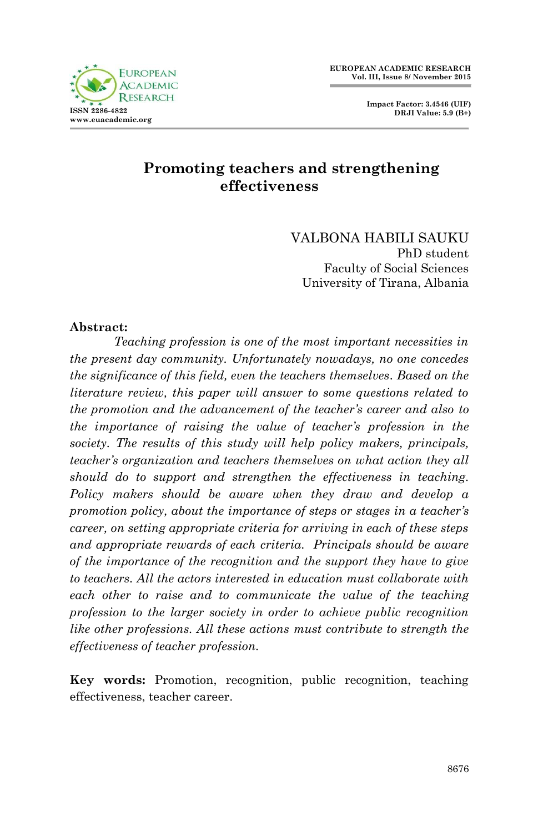**Impact Factor: 3.4546 (UIF) DRJI Value: 5.9 (B+)**



# **Promoting teachers and strengthening effectiveness**

VALBONA HABILI SAUKU PhD student Faculty of Social Sciences University of Tirana, Albania

#### **Abstract:**

*Teaching profession is one of the most important necessities in the present day community. Unfortunately nowadays, no one concedes the significance of this field, even the teachers themselves. Based on the literature review, this paper will answer to some questions related to the promotion and the advancement of the teacher's career and also to the importance of raising the value of teacher's profession in the society. The results of this study will help policy makers, principals, teacher's organization and teachers themselves on what action they all should do to support and strengthen the effectiveness in teaching. Policy makers should be aware when they draw and develop a promotion policy, about the importance of steps or stages in a teacher's career, on setting appropriate criteria for arriving in each of these steps and appropriate rewards of each criteria. Principals should be aware of the importance of the recognition and the support they have to give to teachers. All the actors interested in education must collaborate with each other to raise and to communicate the value of the teaching profession to the larger society in order to achieve public recognition like other professions. All these actions must contribute to strength the effectiveness of teacher profession.*

**Key words:** Promotion, recognition, public recognition, teaching effectiveness, teacher career.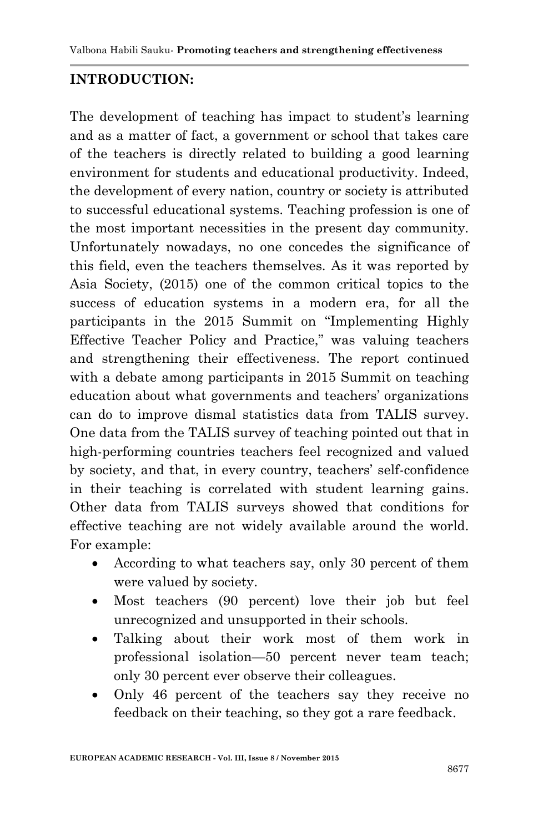#### **INTRODUCTION:**

The development of teaching has impact to student's learning and as a matter of fact, a government or school that takes care of the teachers is directly related to building a good learning environment for students and educational productivity. Indeed, the development of every nation, country or society is attributed to successful educational systems. Teaching profession is one of the most important necessities in the present day community. Unfortunately nowadays, no one concedes the significance of this field, even the teachers themselves. As it was reported by Asia Society, (2015) one of the common critical topics to the success of education systems in a modern era, for all the participants in the 2015 Summit on "Implementing Highly Effective Teacher Policy and Practice," was valuing teachers and strengthening their effectiveness. The report continued with a debate among participants in 2015 Summit on teaching education about what governments and teachers' organizations can do to improve dismal statistics data from TALIS survey. One data from the TALIS survey of teaching pointed out that in high-performing countries teachers feel recognized and valued by society, and that, in every country, teachers' self-confidence in their teaching is correlated with student learning gains. Other data from TALIS surveys showed that conditions for effective teaching are not widely available around the world. For example:

- According to what teachers say, only 30 percent of them were valued by society.
- Most teachers (90 percent) love their job but feel unrecognized and unsupported in their schools.
- Talking about their work most of them work in professional isolation—50 percent never team teach; only 30 percent ever observe their colleagues.
- Only 46 percent of the teachers say they receive no feedback on their teaching, so they got a rare feedback.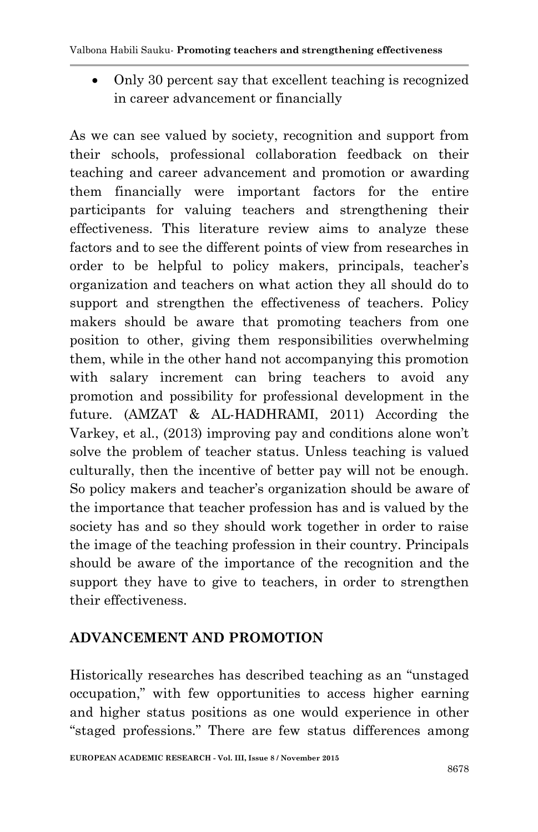Only 30 percent say that excellent teaching is recognized in career advancement or financially

As we can see valued by society, recognition and support from their schools, professional collaboration feedback on their teaching and career advancement and promotion or awarding them financially were important factors for the entire participants for valuing teachers and strengthening their effectiveness. This literature review aims to analyze these factors and to see the different points of view from researches in order to be helpful to policy makers, principals, teacher's organization and teachers on what action they all should do to support and strengthen the effectiveness of teachers. Policy makers should be aware that promoting teachers from one position to other, giving them responsibilities overwhelming them, while in the other hand not accompanying this promotion with salary increment can bring teachers to avoid any promotion and possibility for professional development in the future. (AMZAT & AL-HADHRAMI, 2011) According the Varkey, et al., (2013) improving pay and conditions alone won't solve the problem of teacher status. Unless teaching is valued culturally, then the incentive of better pay will not be enough. So policy makers and teacher's organization should be aware of the importance that teacher profession has and is valued by the society has and so they should work together in order to raise the image of the teaching profession in their country. Principals should be aware of the importance of the recognition and the support they have to give to teachers, in order to strengthen their effectiveness.

## **ADVANCEMENT AND PROMOTION**

Historically researches has described teaching as an "unstaged" occupation,‖ with few opportunities to access higher earning and higher status positions as one would experience in other "staged professions." There are few status differences among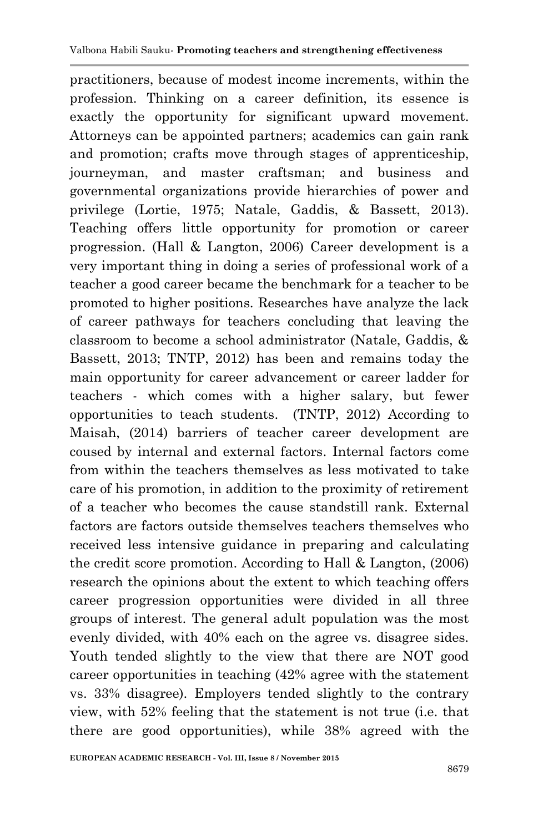practitioners, because of modest income increments, within the profession. Thinking on a career definition, its essence is exactly the opportunity for significant upward movement. Attorneys can be appointed partners; academics can gain rank and promotion; crafts move through stages of apprenticeship, journeyman, and master craftsman; and business and governmental organizations provide hierarchies of power and privilege (Lortie, 1975; Natale, Gaddis, & Bassett, 2013). Teaching offers little opportunity for promotion or career progression. (Hall & Langton, 2006) Career development is a very important thing in doing a series of professional work of a teacher a good career became the benchmark for a teacher to be promoted to higher positions. Researches have analyze the lack of career pathways for teachers concluding that leaving the classroom to become a school administrator (Natale, Gaddis, & Bassett, 2013; TNTP, 2012) has been and remains today the main opportunity for career advancement or career ladder for teachers - which comes with a higher salary, but fewer opportunities to teach students. (TNTP, 2012) According to Maisah, (2014) barriers of teacher career development are coused by internal and external factors. Internal factors come from within the teachers themselves as less motivated to take care of his promotion, in addition to the proximity of retirement of a teacher who becomes the cause standstill rank. External factors are factors outside themselves teachers themselves who received less intensive guidance in preparing and calculating the credit score promotion. According to Hall & Langton, (2006) research the opinions about the extent to which teaching offers career progression opportunities were divided in all three groups of interest. The general adult population was the most evenly divided, with 40% each on the agree vs. disagree sides. Youth tended slightly to the view that there are NOT good career opportunities in teaching (42% agree with the statement vs. 33% disagree). Employers tended slightly to the contrary view, with 52% feeling that the statement is not true (i.e. that there are good opportunities), while 38% agreed with the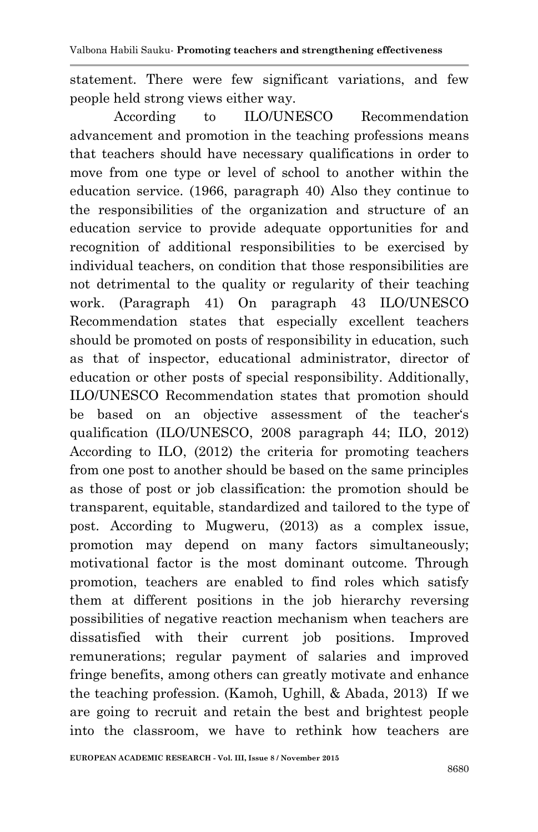statement. There were few significant variations, and few people held strong views either way.

According to ILO/UNESCO Recommendation advancement and promotion in the teaching professions means that teachers should have necessary qualifications in order to move from one type or level of school to another within the education service. (1966, paragraph 40) Also they continue to the responsibilities of the organization and structure of an education service to provide adequate opportunities for and recognition of additional responsibilities to be exercised by individual teachers, on condition that those responsibilities are not detrimental to the quality or regularity of their teaching work. (Paragraph 41) On paragraph 43 ILO/UNESCO Recommendation states that especially excellent teachers should be promoted on posts of responsibility in education, such as that of inspector, educational administrator, director of education or other posts of special responsibility. Additionally, ILO/UNESCO Recommendation states that promotion should be based on an objective assessment of the teacher's qualification (ILO/UNESCO, 2008 paragraph 44; ILO, 2012) According to ILO, (2012) the criteria for promoting teachers from one post to another should be based on the same principles as those of post or job classification: the promotion should be transparent, equitable, standardized and tailored to the type of post. According to Mugweru, (2013) as a complex issue, promotion may depend on many factors simultaneously; motivational factor is the most dominant outcome. Through promotion, teachers are enabled to find roles which satisfy them at different positions in the job hierarchy reversing possibilities of negative reaction mechanism when teachers are dissatisfied with their current job positions. Improved remunerations; regular payment of salaries and improved fringe benefits, among others can greatly motivate and enhance the teaching profession. (Kamoh, Ughill, & Abada, 2013) If we are going to recruit and retain the best and brightest people into the classroom, we have to rethink how teachers are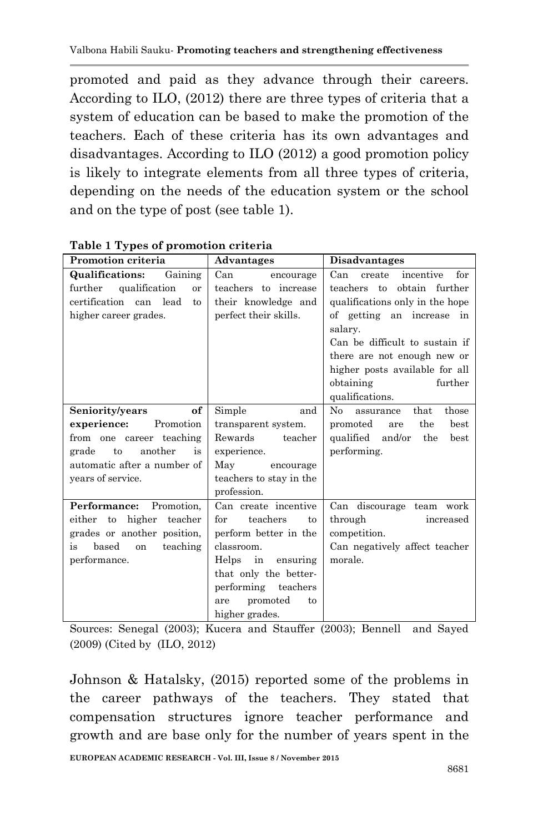promoted and paid as they advance through their careers. According to ILO, (2012) there are three types of criteria that a system of education can be based to make the promotion of the teachers. Each of these criteria has its own advantages and disadvantages. According to ILO (2012) a good promotion policy is likely to integrate elements from all three types of criteria, depending on the needs of the education system or the school and on the type of post (see table 1).

| Promotion criteria                                                                                                                                                | Advantages                                                                                                                                                                                           | <b>Disadvantages</b>                                                                                                                                                                                                                                                                        |
|-------------------------------------------------------------------------------------------------------------------------------------------------------------------|------------------------------------------------------------------------------------------------------------------------------------------------------------------------------------------------------|---------------------------------------------------------------------------------------------------------------------------------------------------------------------------------------------------------------------------------------------------------------------------------------------|
| Gaining<br><b>Qualifications:</b><br>further qualification<br>or<br>certification can lead<br>to<br>higher career grades.                                         | Can<br>encourage<br>teachers to increase<br>their knowledge and<br>perfect their skills.                                                                                                             | for<br>Can<br>incentive<br>create<br>obtain further<br>teachers to<br>qualifications only in the hope<br>of getting an increase in<br>salary.<br>Can be difficult to sustain if<br>there are not enough new or<br>higher posts available for all<br>obtaining<br>further<br>qualifications. |
| of<br>Seniority/years<br>experience:<br>Promotion<br>from one career teaching<br>another<br>is<br>grade<br>to<br>automatic after a number of<br>vears of service. | Simple<br>and<br>transparent system.<br>Rewards<br>teacher<br>experience.<br>May<br>encourage<br>teachers to stay in the<br>profession.                                                              | N <sub>0</sub><br>those<br>$_{\rm that}$<br>assurance<br>the<br>promoted<br>best<br>are<br>qualified and/or<br>the<br>best<br>performing.                                                                                                                                                   |
| <b>Performance:</b> Promotion.<br>either to<br>higher<br>teacher<br>grades or another position,<br>based<br>teaching<br>is<br>on<br>performance.                  | Can create incentive<br>teachers<br>for<br>to<br>perform better in the<br>classroom.<br>Helps in ensuring<br>that only the better-<br>performing teachers<br>promoted<br>to<br>are<br>higher grades. | Can discourage team work<br>through<br>increased<br>competition.<br>Can negatively affect teacher<br>morale.                                                                                                                                                                                |

**Table 1 Types of promotion criteria**

Sources: Senegal (2003); Kucera and Stauffer (2003); Bennell and Sayed (2009) (Cited by (ILO, 2012)

Johnson & Hatalsky, (2015) reported some of the problems in the career pathways of the teachers. They stated that compensation structures ignore teacher performance and growth and are base only for the number of years spent in the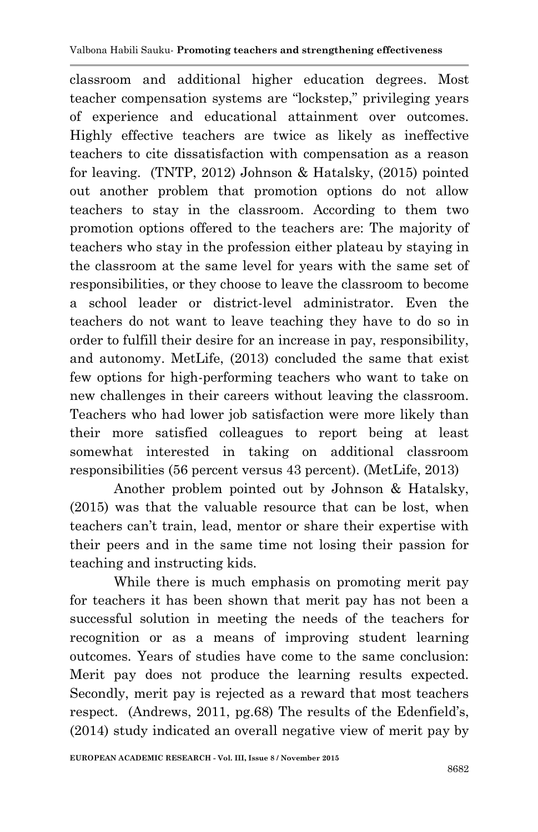classroom and additional higher education degrees. Most teacher compensation systems are "lockstep," privileging years of experience and educational attainment over outcomes. Highly effective teachers are twice as likely as ineffective teachers to cite dissatisfaction with compensation as a reason for leaving. (TNTP, 2012) Johnson & Hatalsky, (2015) pointed out another problem that promotion options do not allow teachers to stay in the classroom. According to them two promotion options offered to the teachers are: The majority of teachers who stay in the profession either plateau by staying in the classroom at the same level for years with the same set of responsibilities, or they choose to leave the classroom to become a school leader or district-level administrator. Even the teachers do not want to leave teaching they have to do so in order to fulfill their desire for an increase in pay, responsibility, and autonomy. MetLife, (2013) concluded the same that exist few options for high-performing teachers who want to take on new challenges in their careers without leaving the classroom. Teachers who had lower job satisfaction were more likely than their more satisfied colleagues to report being at least somewhat interested in taking on additional classroom responsibilities (56 percent versus 43 percent). (MetLife, 2013)

Another problem pointed out by Johnson & Hatalsky, (2015) was that the valuable resource that can be lost, when teachers can't train, lead, mentor or share their expertise with their peers and in the same time not losing their passion for teaching and instructing kids.

While there is much emphasis on promoting merit pay for teachers it has been shown that merit pay has not been a successful solution in meeting the needs of the teachers for recognition or as a means of improving student learning outcomes. Years of studies have come to the same conclusion: Merit pay does not produce the learning results expected. Secondly, merit pay is rejected as a reward that most teachers respect. (Andrews, 2011, pg.68) The results of the Edenfield's, (2014) study indicated an overall negative view of merit pay by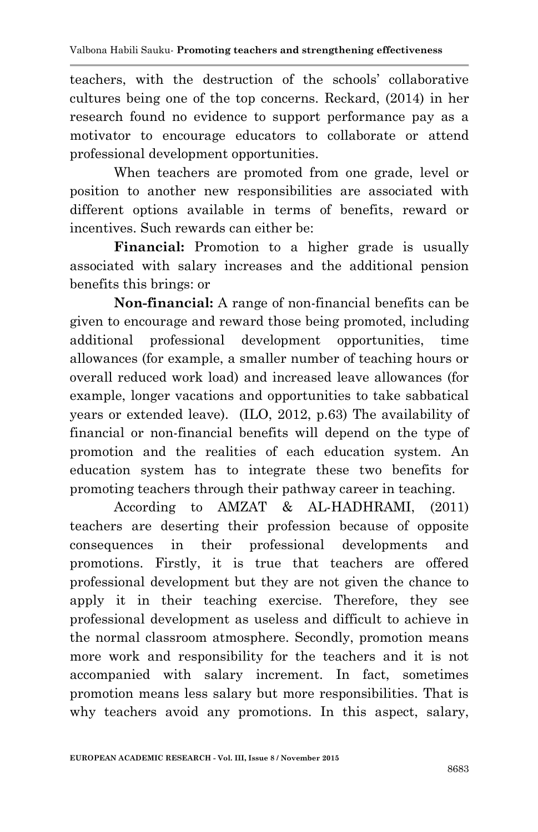teachers, with the destruction of the schools' collaborative cultures being one of the top concerns. Reckard, (2014) in her research found no evidence to support performance pay as a motivator to encourage educators to collaborate or attend professional development opportunities.

When teachers are promoted from one grade, level or position to another new responsibilities are associated with different options available in terms of benefits, reward or incentives. Such rewards can either be:

**Financial:** Promotion to a higher grade is usually associated with salary increases and the additional pension benefits this brings: or

**Non-financial:** A range of non-financial benefits can be given to encourage and reward those being promoted, including additional professional development opportunities, time allowances (for example, a smaller number of teaching hours or overall reduced work load) and increased leave allowances (for example, longer vacations and opportunities to take sabbatical years or extended leave). (ILO, 2012, p.63) The availability of financial or non-financial benefits will depend on the type of promotion and the realities of each education system. An education system has to integrate these two benefits for promoting teachers through their pathway career in teaching.

According to AMZAT & AL-HADHRAMI, (2011) teachers are deserting their profession because of opposite consequences in their professional developments and promotions. Firstly, it is true that teachers are offered professional development but they are not given the chance to apply it in their teaching exercise. Therefore, they see professional development as useless and difficult to achieve in the normal classroom atmosphere. Secondly, promotion means more work and responsibility for the teachers and it is not accompanied with salary increment. In fact, sometimes promotion means less salary but more responsibilities. That is why teachers avoid any promotions. In this aspect, salary,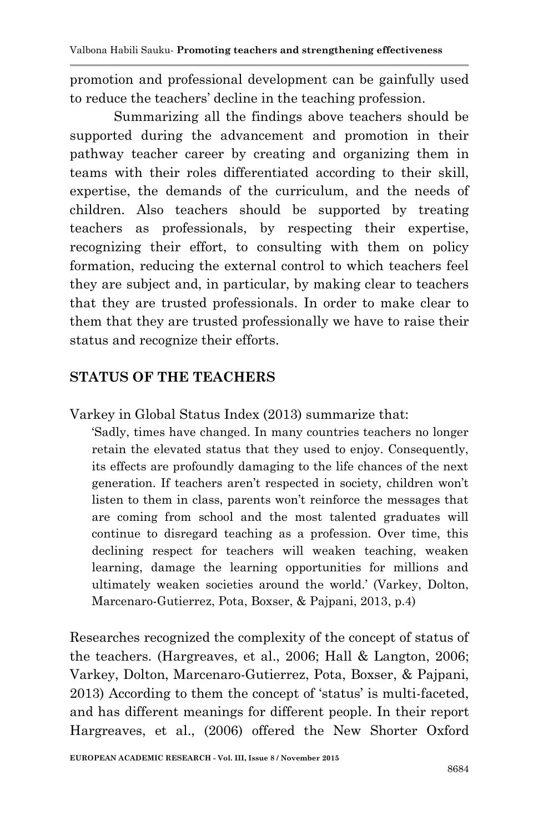promotion and professional development can be gainfully used to reduce the teachers' decline in the teaching profession.

Summarizing all the findings above teachers should be supported during the advancement and promotion in their pathway teacher career by creating and organizing them in teams with their roles differentiated according to their skill, expertise, the demands of the curriculum, and the needs of children. Also teachers should be supported by treating teachers as professionals, by respecting their expertise, recognizing their effort, to consulting with them on policy formation, reducing the external control to which teachers feel they are subject and, in particular, by making clear to teachers that they are trusted professionals. In order to make clear to them that they are trusted professionally we have to raise their status and recognize their efforts.

## **STATUS OF THE TEACHERS**

Varkey in Global Status Index (2013) summarize that:

‗Sadly, times have changed. In many countries teachers no longer retain the elevated status that they used to enjoy. Consequently, its effects are profoundly damaging to the life chances of the next generation. If teachers aren't respected in society, children won't listen to them in class, parents won't reinforce the messages that are coming from school and the most talented graduates will continue to disregard teaching as a profession. Over time, this declining respect for teachers will weaken teaching, weaken learning, damage the learning opportunities for millions and ultimately weaken societies around the world.' (Varkey, Dolton, Marcenaro-Gutierrez, Pota, Boxser, & Pajpani, 2013, p.4)

Researches recognized the complexity of the concept of status of the teachers. (Hargreaves, et al., 2006; Hall & Langton, 2006; Varkey, Dolton, Marcenaro-Gutierrez, Pota, Boxser, & Pajpani, 2013) According to them the concept of 'status' is multi-faceted, and has different meanings for different people. In their report Hargreaves, et al., (2006) offered the New Shorter Oxford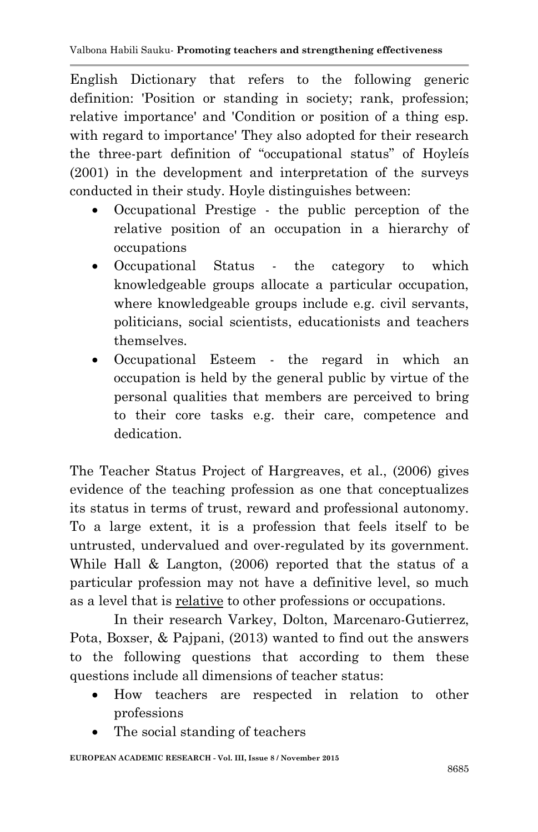English Dictionary that refers to the following generic definition: 'Position or standing in society; rank, profession; relative importance' and 'Condition or position of a thing esp. with regard to importance' They also adopted for their research the three-part definition of "occupational status" of Hoyleís (2001) in the development and interpretation of the surveys conducted in their study. Hoyle distinguishes between:

- Occupational Prestige the public perception of the relative position of an occupation in a hierarchy of occupations
- Occupational Status the category to which knowledgeable groups allocate a particular occupation, where knowledgeable groups include e.g. civil servants, politicians, social scientists, educationists and teachers themselves.
- Occupational Esteem the regard in which an occupation is held by the general public by virtue of the personal qualities that members are perceived to bring to their core tasks e.g. their care, competence and dedication.

The Teacher Status Project of Hargreaves, et al., (2006) gives evidence of the teaching profession as one that conceptualizes its status in terms of trust, reward and professional autonomy. To a large extent, it is a profession that feels itself to be untrusted, undervalued and over-regulated by its government. While Hall & Langton, (2006) reported that the status of a particular profession may not have a definitive level, so much as a level that is relative to other professions or occupations.

In their research Varkey, Dolton, Marcenaro-Gutierrez, Pota, Boxser, & Pajpani, (2013) wanted to find out the answers to the following questions that according to them these questions include all dimensions of teacher status:

- How teachers are respected in relation to other professions
- The social standing of teachers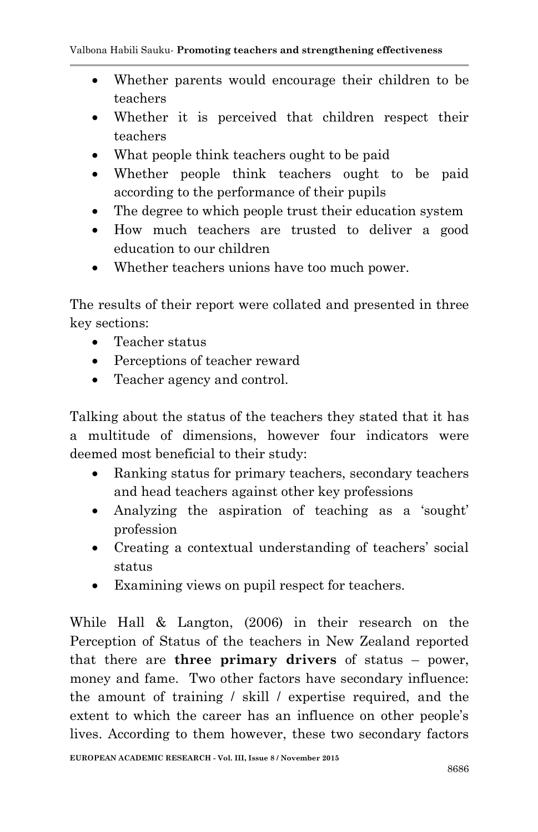- Whether parents would encourage their children to be teachers
- Whether it is perceived that children respect their teachers
- What people think teachers ought to be paid
- Whether people think teachers ought to be paid according to the performance of their pupils
- The degree to which people trust their education system
- How much teachers are trusted to deliver a good education to our children
- Whether teachers unions have too much power.

The results of their report were collated and presented in three key sections:

- Teacher status
- Perceptions of teacher reward
- Teacher agency and control.

Talking about the status of the teachers they stated that it has a multitude of dimensions, however four indicators were deemed most beneficial to their study:

- Ranking status for primary teachers, secondary teachers and head teachers against other key professions
- Analyzing the aspiration of teaching as a 'sought' profession
- Creating a contextual understanding of teachers' social status
- Examining views on pupil respect for teachers.

While Hall & Langton, (2006) in their research on the Perception of Status of the teachers in New Zealand reported that there are **three primary drivers** of status – power, money and fame. Two other factors have secondary influence: the amount of training / skill / expertise required, and the extent to which the career has an influence on other people's lives. According to them however, these two secondary factors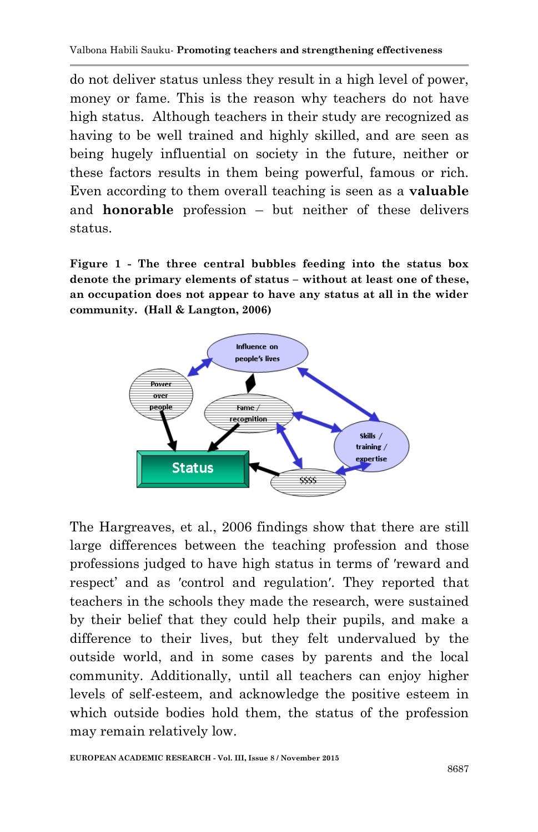do not deliver status unless they result in a high level of power, money or fame. This is the reason why teachers do not have high status. Although teachers in their study are recognized as having to be well trained and highly skilled, and are seen as being hugely influential on society in the future, neither or these factors results in them being powerful, famous or rich. Even according to them overall teaching is seen as a **valuable**  and **honorable** profession – but neither of these delivers status.

**Figure 1 - The three central bubbles feeding into the status box denote the primary elements of status – without at least one of these, an occupation does not appear to have any status at all in the wider community. (Hall & Langton, 2006)**



The Hargreaves, et al., 2006 findings show that there are still large differences between the teaching profession and those professions judged to have high status in terms of ʹreward and respect' and as 'control and regulation'. They reported that teachers in the schools they made the research, were sustained by their belief that they could help their pupils, and make a difference to their lives, but they felt undervalued by the outside world, and in some cases by parents and the local community. Additionally, until all teachers can enjoy higher levels of self-esteem, and acknowledge the positive esteem in which outside bodies hold them, the status of the profession may remain relatively low.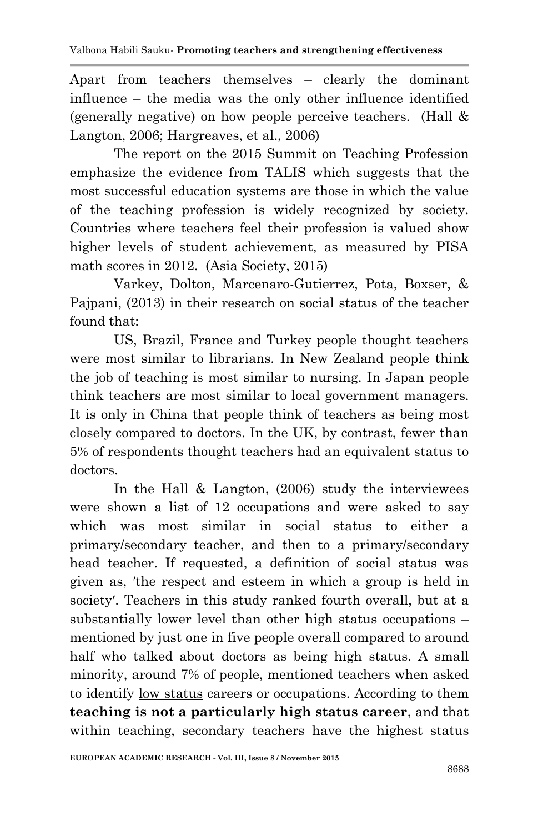Apart from teachers themselves – clearly the dominant influence – the media was the only other influence identified (generally negative) on how people perceive teachers. (Hall & Langton, 2006; Hargreaves, et al., 2006)

The report on the 2015 Summit on Teaching Profession emphasize the evidence from TALIS which suggests that the most successful education systems are those in which the value of the teaching profession is widely recognized by society. Countries where teachers feel their profession is valued show higher levels of student achievement, as measured by PISA math scores in 2012. (Asia Society, 2015)

Varkey, Dolton, Marcenaro-Gutierrez, Pota, Boxser, & Pajpani, (2013) in their research on social status of the teacher found that:

US, Brazil, France and Turkey people thought teachers were most similar to librarians. In New Zealand people think the job of teaching is most similar to nursing. In Japan people think teachers are most similar to local government managers. It is only in China that people think of teachers as being most closely compared to doctors. In the UK, by contrast, fewer than 5% of respondents thought teachers had an equivalent status to doctors.

In the Hall  $&$  Langton, (2006) study the interviewees were shown a list of 12 occupations and were asked to say which was most similar in social status to either a primary/secondary teacher, and then to a primary/secondary head teacher. If requested, a definition of social status was given as, 'the respect and esteem in which a group is held in society'. Teachers in this study ranked fourth overall, but at a substantially lower level than other high status occupations – mentioned by just one in five people overall compared to around half who talked about doctors as being high status. A small minority, around 7% of people, mentioned teachers when asked to identify low status careers or occupations. According to them **teaching is not a particularly high status career**, and that within teaching, secondary teachers have the highest status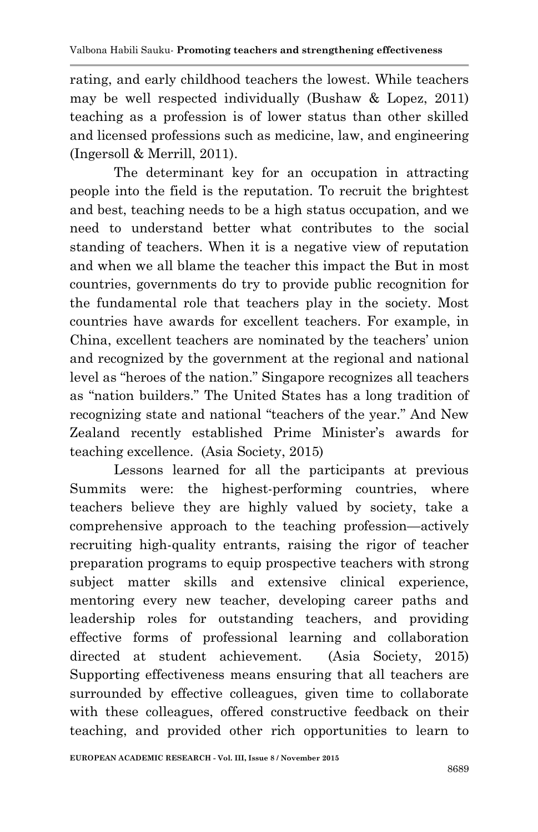rating, and early childhood teachers the lowest. While teachers may be well respected individually (Bushaw & Lopez, 2011) teaching as a profession is of lower status than other skilled and licensed professions such as medicine, law, and engineering (Ingersoll & Merrill, 2011).

The determinant key for an occupation in attracting people into the field is the reputation. To recruit the brightest and best, teaching needs to be a high status occupation, and we need to understand better what contributes to the social standing of teachers. When it is a negative view of reputation and when we all blame the teacher this impact the But in most countries, governments do try to provide public recognition for the fundamental role that teachers play in the society. Most countries have awards for excellent teachers. For example, in China, excellent teachers are nominated by the teachers' union and recognized by the government at the regional and national level as "heroes of the nation." Singapore recognizes all teachers as "nation builders." The United States has a long tradition of recognizing state and national "teachers of the year." And New Zealand recently established Prime Minister's awards for teaching excellence. (Asia Society, 2015)

Lessons learned for all the participants at previous Summits were: the highest-performing countries, where teachers believe they are highly valued by society, take a comprehensive approach to the teaching profession—actively recruiting high-quality entrants, raising the rigor of teacher preparation programs to equip prospective teachers with strong subject matter skills and extensive clinical experience, mentoring every new teacher, developing career paths and leadership roles for outstanding teachers, and providing effective forms of professional learning and collaboration directed at student achievement. (Asia Society, 2015) Supporting effectiveness means ensuring that all teachers are surrounded by effective colleagues, given time to collaborate with these colleagues, offered constructive feedback on their teaching, and provided other rich opportunities to learn to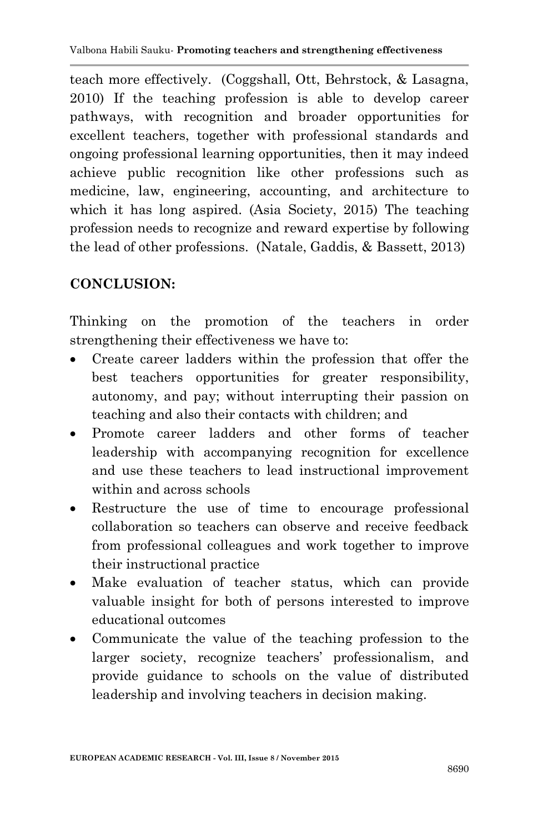teach more effectively. (Coggshall, Ott, Behrstock, & Lasagna, 2010) If the teaching profession is able to develop career pathways, with recognition and broader opportunities for excellent teachers, together with professional standards and ongoing professional learning opportunities, then it may indeed achieve public recognition like other professions such as medicine, law, engineering, accounting, and architecture to which it has long aspired. (Asia Society, 2015) The teaching profession needs to recognize and reward expertise by following the lead of other professions. (Natale, Gaddis, & Bassett, 2013)

## **CONCLUSION:**

Thinking on the promotion of the teachers in order strengthening their effectiveness we have to:

- Create career ladders within the profession that offer the best teachers opportunities for greater responsibility, autonomy, and pay; without interrupting their passion on teaching and also their contacts with children; and
- Promote career ladders and other forms of teacher leadership with accompanying recognition for excellence and use these teachers to lead instructional improvement within and across schools
- Restructure the use of time to encourage professional collaboration so teachers can observe and receive feedback from professional colleagues and work together to improve their instructional practice
- Make evaluation of teacher status, which can provide valuable insight for both of persons interested to improve educational outcomes
- Communicate the value of the teaching profession to the larger society, recognize teachers' professionalism, and provide guidance to schools on the value of distributed leadership and involving teachers in decision making.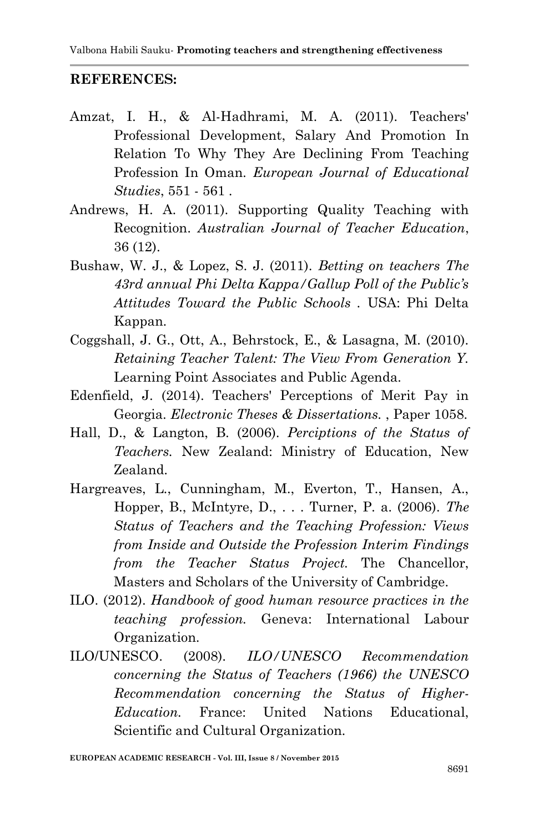#### **REFERENCES:**

- Amzat, I. H., & Al-Hadhrami, M. A. (2011). Teachers' Professional Development, Salary And Promotion In Relation To Why They Are Declining From Teaching Profession In Oman. *European Journal of Educational Studies*, 551 - 561 .
- Andrews, H. A. (2011). Supporting Quality Teaching with Recognition. *Australian Journal of Teacher Education*, 36 (12).
- Bushaw, W. J., & Lopez, S. J. (2011). *Betting on teachers The 43rd annual Phi Delta Kappa/Gallup Poll of the Public's Attitudes Toward the Public Schools .* USA: Phi Delta Kappan.
- Coggshall, J. G., Ott, A., Behrstock, E., & Lasagna, M. (2010). *Retaining Teacher Talent: The View From Generation Y.* Learning Point Associates and Public Agenda.
- Edenfield, J. (2014). Teachers' Perceptions of Merit Pay in Georgia. *Electronic Theses & Dissertations.* , Paper 1058.
- Hall, D., & Langton, B. (2006). *Perciptions of the Status of Teachers.* New Zealand: Ministry of Education, New Zealand.
- Hargreaves, L., Cunningham, M., Everton, T., Hansen, A., Hopper, B., McIntyre, D., . . . Turner, P. a. (2006). *The Status of Teachers and the Teaching Profession: Views from Inside and Outside the Profession Interim Findings from the Teacher Status Project.* The Chancellor, Masters and Scholars of the University of Cambridge.
- ILO. (2012). *Handbook of good human resource practices in the teaching profession.* Geneva: International Labour Organization.
- ILO/UNESCO. (2008). *ILO/UNESCO Recommendation concerning the Status of Teachers (1966) the UNESCO Recommendation concerning the Status of Higher-Education.* France: United Nations Educational, Scientific and Cultural Organization.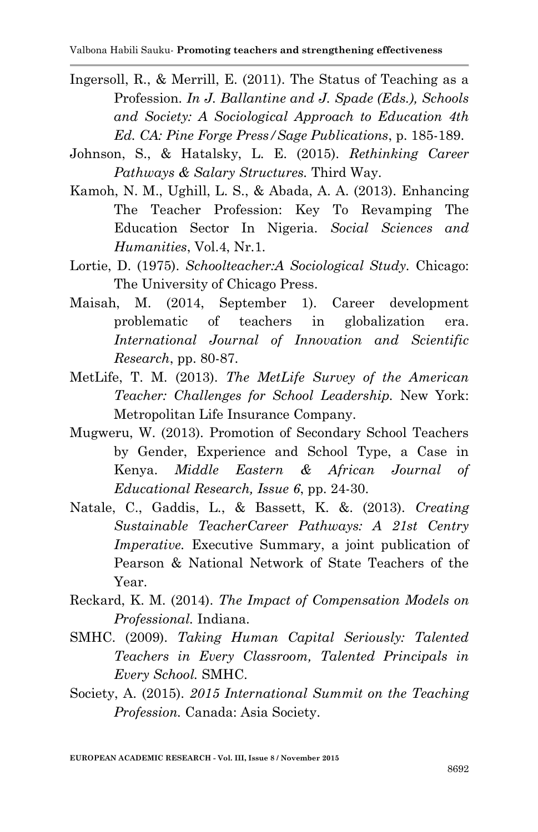- Ingersoll, R., & Merrill, E. (2011). The Status of Teaching as a Profession. *In J. Ballantine and J. Spade (Eds.), Schools and Society: A Sociological Approach to Education 4th Ed. CA: Pine Forge Press/Sage Publications*, p. 185-189.
- Johnson, S., & Hatalsky, L. E. (2015). *Rethinking Career Pathways & Salary Structures.* Third Way.
- Kamoh, N. M., Ughill, L. S., & Abada, A. A. (2013). Enhancing The Teacher Profession: Key To Revamping The Education Sector In Nigeria. *Social Sciences and Humanities*, Vol.4, Nr.1.
- Lortie, D. (1975). *Schoolteacher:A Sociological Study.* Chicago: The University of Chicago Press.
- Maisah, M. (2014, September 1). Career development problematic of teachers in globalization era. *International Journal of Innovation and Scientific Research*, pp. 80-87.
- MetLife, T. M. (2013). *The MetLife Survey of the American Teacher: Challenges for School Leadership.* New York: Metropolitan Life Insurance Company.
- Mugweru, W. (2013). Promotion of Secondary School Teachers by Gender, Experience and School Type, a Case in Kenya. *Middle Eastern & African Journal of Educational Research, Issue 6*, pp. 24-30.
- Natale, C., Gaddis, L., & Bassett, K. &. (2013). *Creating Sustainable TeacherCareer Pathways: A 21st Centry Imperative.* Executive Summary, a joint publication of Pearson & National Network of State Teachers of the Year.
- Reckard, K. M. (2014). *The Impact of Compensation Models on Professional.* Indiana.
- SMHC. (2009). *Taking Human Capital Seriously: Talented Teachers in Every Classroom, Talented Principals in Every School.* SMHC.
- Society, A. (2015). *2015 International Summit on the Teaching Profession.* Canada: Asia Society.